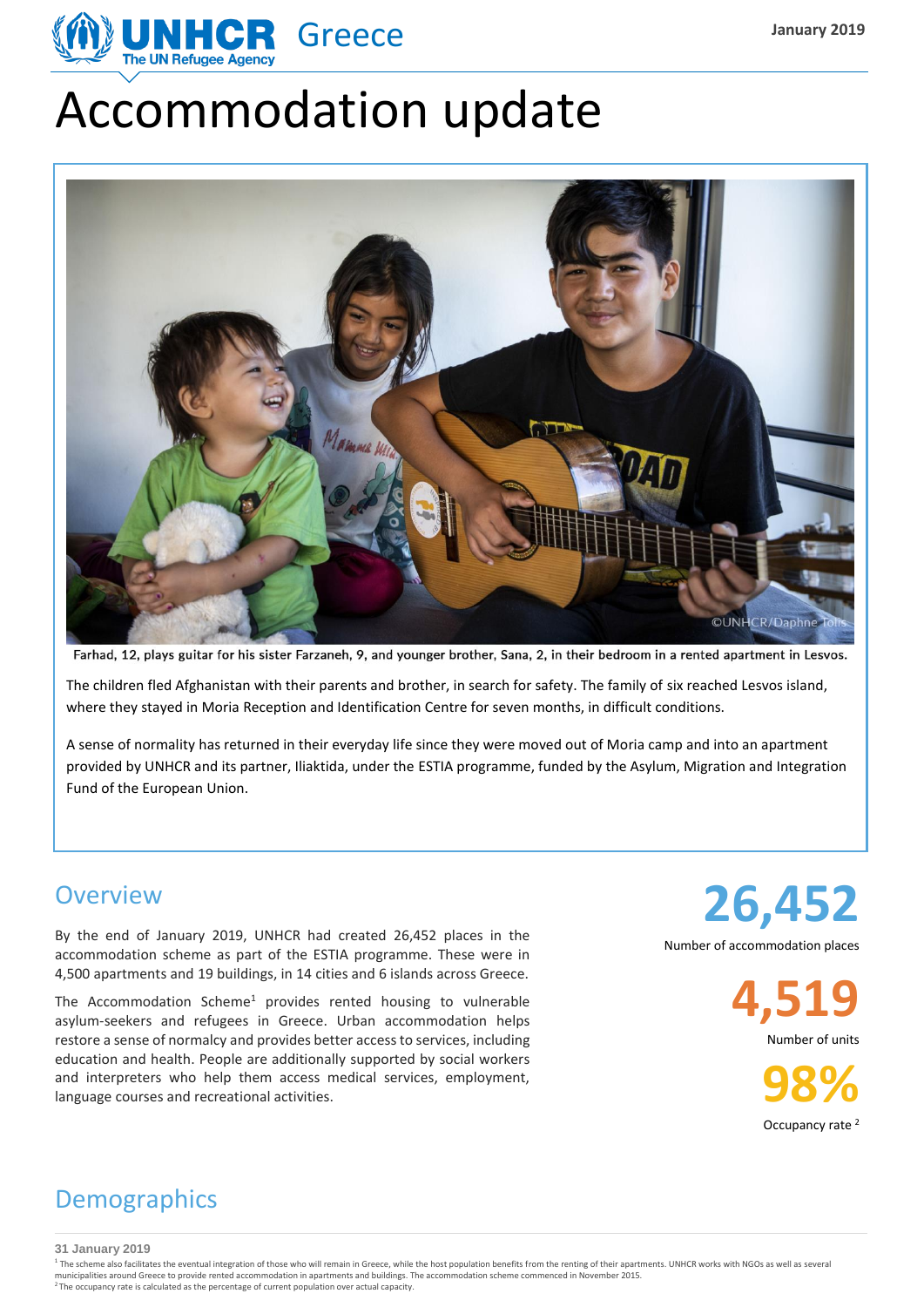

# Accommodation update



Farhad, 12, plays guitar for his sister Farzaneh, 9, and younger brother, Sana, 2, in their bedroom in a rented apartment in Lesvos.

The children fled Afghanistan with their parents and brother, in search for safety. The family of six reached Lesvos island, where they stayed in Moria Reception and Identification Centre for seven months, in difficult conditions.

A sense of normality has returned in their everyday life since they were moved out of Moria camp and into an apartment provided by UNHCR and its partner, Iliaktida, under the ESTIA programme, funded by the Asylum, Migration and Integration Fund of the European Union.

#### **Overview**

By the end of January 2019, UNHCR had created 26,452 places in the accommodation scheme as part of the ESTIA programme. These were in 4,500 apartments and 19 buildings, in 14 cities and 6 islands across Greece.

The Accommodation Scheme<sup>1</sup> provides rented housing to vulnerable asylum-seekers and refugees in Greece. Urban accommodation helps restore a sense of normalcy and provides better accessto services, including education and health. People are additionally supported by social workers and interpreters who help them access medical services, employment, language courses and recreational activities.

**26,452** Number of accommodation places

**4,519**

Number of units

**98%** Occupancy rate <sup>2</sup>

## **Demographics**

**31 January 2019**

<sup>1</sup> The scheme also facilitates the eventual integration of those who will remain in Greece, while the host population benefits from the renting of their apartments. UNHCR works with NGOs as well as several municipalities around Greece to provide rented accommodation in apartments and buildings. The accommodation scheme commenced in November 2015.<br><sup>2</sup> The occupancy rate is calculated as the percentage of current population ov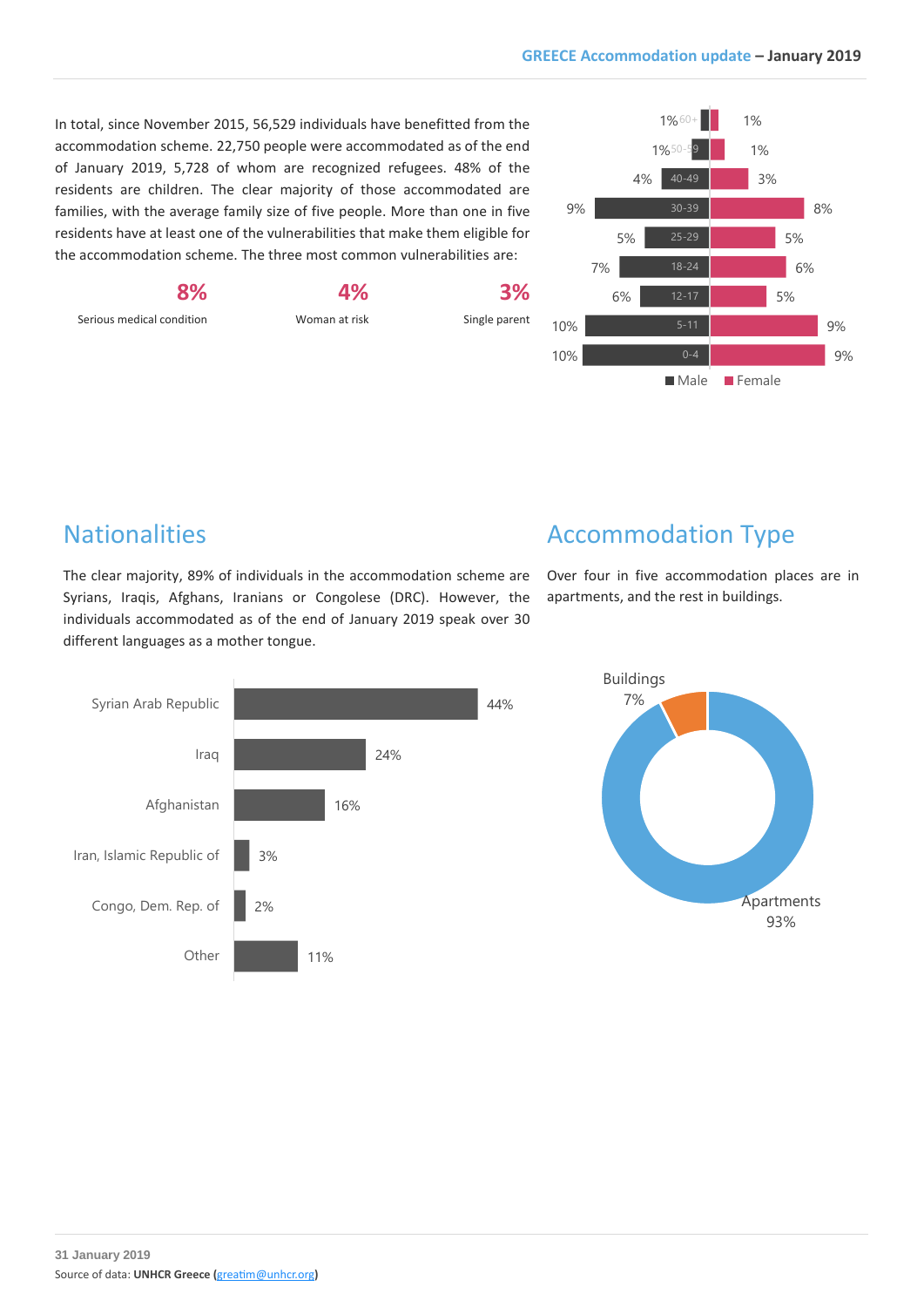In total, since November 2015, 56,529 individuals have benefitted from the accommodation scheme. 22,750 people were accommodated as of the end of January 2019, 5,728 of whom are recognized refugees. 48% of the residents are children. The clear majority of those accommodated are families, with the average family size of five people. More than one in five residents have at least one of the vulnerabilities that make them eligible for the accommodation scheme. The three most common vulnerabilities are:

**4%** Woman at risk **3%** Single parent



#### **Nationalities**

Serious medical condition

**8%**

The clear majority, 89% of individuals in the accommodation scheme are Syrians, Iraqis, Afghans, Iranians or Congolese (DRC). However, the individuals accommodated as of the end of January 2019 speak over 30 different languages as a mother tongue.

## Accommodation Type

Over four in five accommodation places are in apartments, and the rest in buildings.



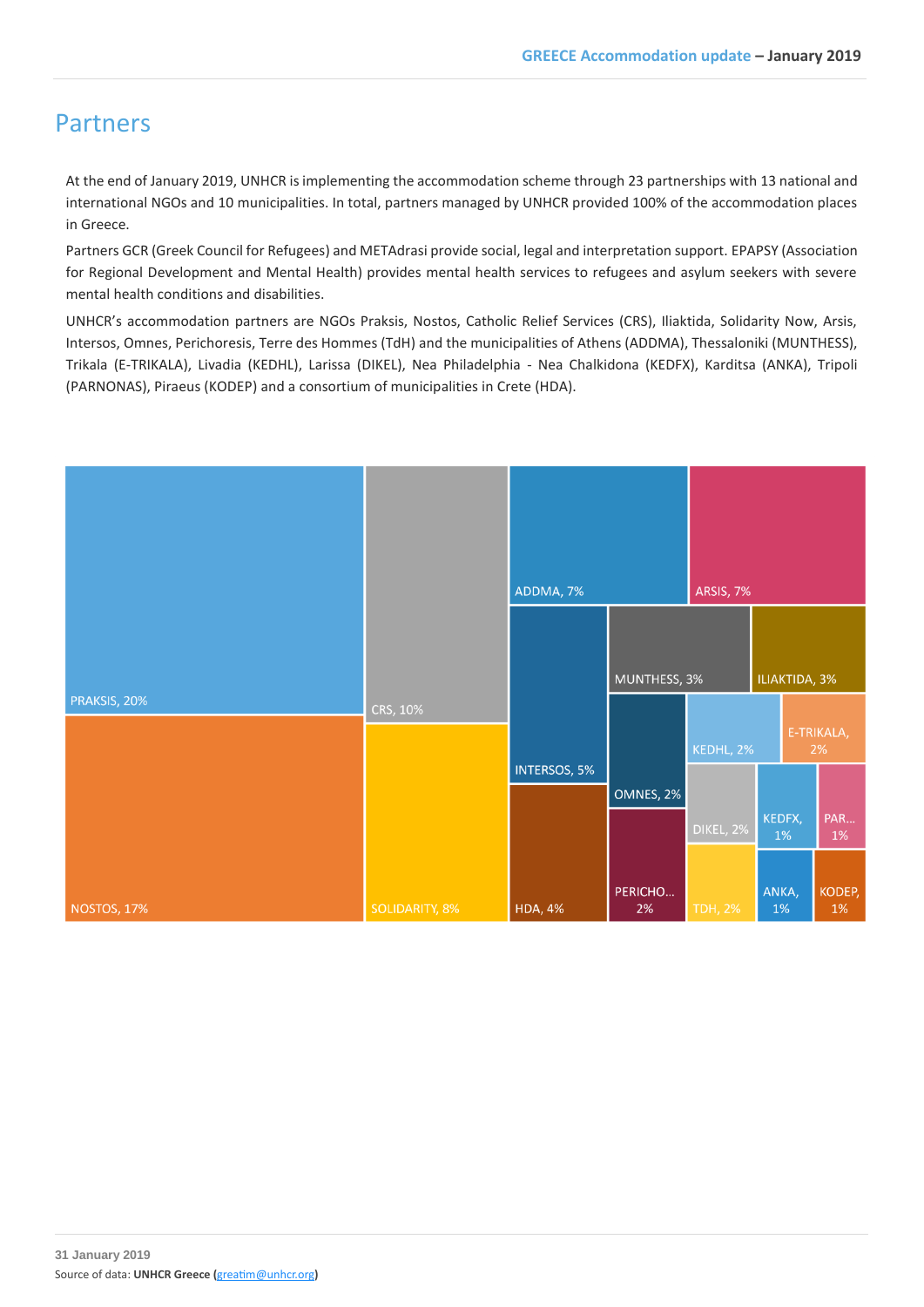#### Partners

At the end of January 2019, UNHCR is implementing the accommodation scheme through 23 partnerships with 13 national and international NGOs and 10 municipalities. In total, partners managed by UNHCR provided 100% of the accommodation places in Greece.

Partners GCR (Greek Council for Refugees) and METAdrasi provide social, legal and interpretation support. EPAPSY (Association for Regional Development and Mental Health) provides mental health services to refugees and asylum seekers with severe mental health conditions and disabilities.

UNHCR's accommodation partners are NGOs Praksis, Nostos, Catholic Relief Services (CRS), Iliaktida, Solidarity Now, Arsis, Intersos, Omnes, Perichoresis, Terre des Hommes (TdH) and the municipalities of Athens (ADDMA), Thessaloniki (MUNTHESS), Trikala (E-TRIKALA), Livadia (KEDHL), Larissa (DIKEL), Nea Philadelphia - Nea Chalkidona (KEDFX), Karditsa (ANKA), Tripoli (PARNONAS), Piraeus (KODEP) and a consortium of municipalities in Crete (HDA).